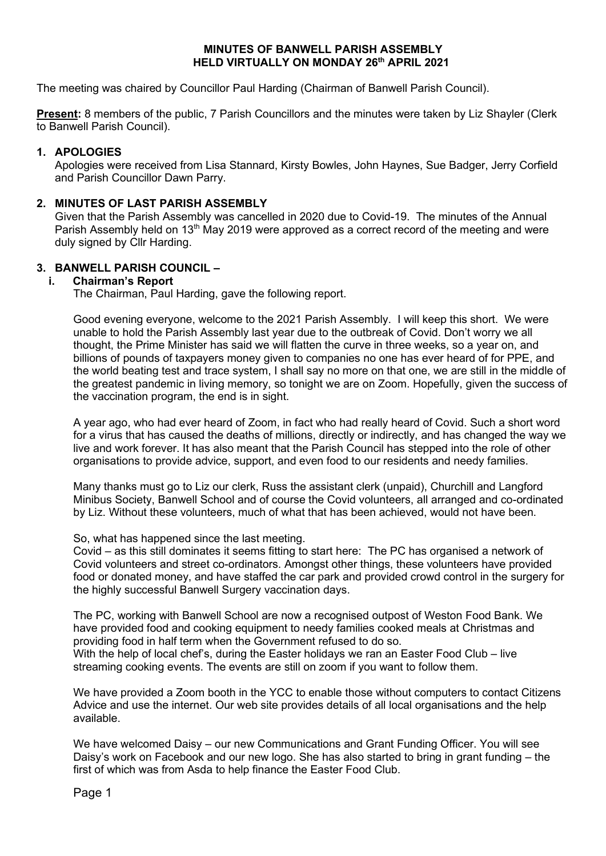### **MINUTES OF BANWELL PARISH ASSEMBLY HELD VIRTUALLY ON MONDAY 26th APRIL 2021**

The meeting was chaired by Councillor Paul Harding (Chairman of Banwell Parish Council).

**Present:** 8 members of the public, 7 Parish Councillors and the minutes were taken by Liz Shayler (Clerk to Banwell Parish Council).

### **1. APOLOGIES**

Apologies were received from Lisa Stannard, Kirsty Bowles, John Haynes, Sue Badger, Jerry Corfield and Parish Councillor Dawn Parry.

### **2. MINUTES OF LAST PARISH ASSEMBLY**

Given that the Parish Assembly was cancelled in 2020 due to Covid-19. The minutes of the Annual Parish Assembly held on 13<sup>th</sup> May 2019 were approved as a correct record of the meeting and were duly signed by Cllr Harding.

### **3. BANWELL PARISH COUNCIL –**

### **i. Chairman's Report**

The Chairman, Paul Harding, gave the following report.

Good evening everyone, welcome to the 2021 Parish Assembly. I will keep this short. We were unable to hold the Parish Assembly last year due to the outbreak of Covid. Don't worry we all thought, the Prime Minister has said we will flatten the curve in three weeks, so a year on, and billions of pounds of taxpayers money given to companies no one has ever heard of for PPE, and the world beating test and trace system, I shall say no more on that one, we are still in the middle of the greatest pandemic in living memory, so tonight we are on Zoom. Hopefully, given the success of the vaccination program, the end is in sight.

A year ago, who had ever heard of Zoom, in fact who had really heard of Covid. Such a short word for a virus that has caused the deaths of millions, directly or indirectly, and has changed the way we live and work forever. It has also meant that the Parish Council has stepped into the role of other organisations to provide advice, support, and even food to our residents and needy families.

Many thanks must go to Liz our clerk, Russ the assistant clerk (unpaid), Churchill and Langford Minibus Society, Banwell School and of course the Covid volunteers, all arranged and co-ordinated by Liz. Without these volunteers, much of what that has been achieved, would not have been.

#### So, what has happened since the last meeting.

Covid – as this still dominates it seems fitting to start here: The PC has organised a network of Covid volunteers and street co-ordinators. Amongst other things, these volunteers have provided food or donated money, and have staffed the car park and provided crowd control in the surgery for the highly successful Banwell Surgery vaccination days.

The PC, working with Banwell School are now a recognised outpost of Weston Food Bank. We have provided food and cooking equipment to needy families cooked meals at Christmas and providing food in half term when the Government refused to do so. With the help of local chef's, during the Easter holidays we ran an Easter Food Club – live streaming cooking events. The events are still on zoom if you want to follow them.

We have provided a Zoom booth in the YCC to enable those without computers to contact Citizens Advice and use the internet. Our web site provides details of all local organisations and the help available.

We have welcomed Daisy – our new Communications and Grant Funding Officer. You will see Daisy's work on Facebook and our new logo. She has also started to bring in grant funding – the first of which was from Asda to help finance the Easter Food Club.

Page 1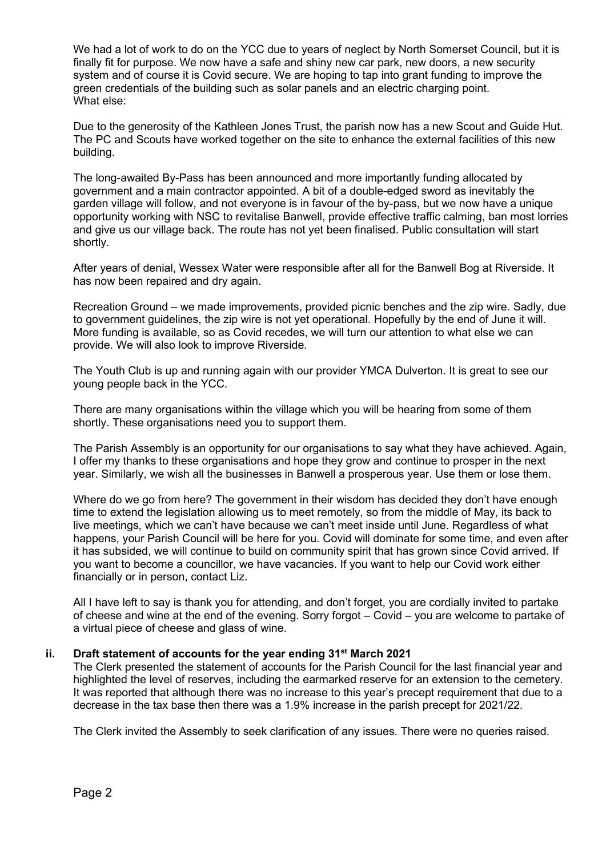We had a lot of work to do on the YCC due to years of neglect by North Somerset Council, but it is finally fit for purpose. We now have a safe and shiny new car park, new doors, a new security system and of course it is Covid secure. We are hoping to tap into grant funding to improve the green credentials of the building such as solar panels and an electric charging point. What else:

Due to the generosity of the Kathleen Jones Trust, the parish now has a new Scout and Guide Hut. The PC and Scouts have worked together on the site to enhance the external facilities of this new building.

The long-awaited By-Pass has been announced and more importantly funding allocated by government and a main contractor appointed. A bit of a double-edged sword as inevitably the garden village will follow, and not everyone is in favour of the by-pass, but we now have a unique opportunity working with NSC to revitalise Banwell, provide effective traffic calming, ban most lorries and give us our village back. The route has not yet been finalised. Public consultation will start shortly.

After years of denial, Wessex Water were responsible after all for the Banwell Bog at Riverside. It has now been repaired and dry again.

Recreation Ground – we made improvements, provided picnic benches and the zip wire. Sadly, due to government guidelines, the zip wire is not yet operational. Hopefully by the end of June it will. More funding is available, so as Covid recedes, we will turn our attention to what else we can provide. We will also look to improve Riverside.

The Youth Club is up and running again with our provider YMCA Dulverton. It is great to see our young people back in the YCC.

There are many organisations within the village which you will be hearing from some of them shortly. These organisations need you to support them.

The Parish Assembly is an opportunity for our organisations to say what they have achieved. Again, I offer my thanks to these organisations and hope they grow and continue to prosper in the next year. Similarly, we wish all the businesses in Banwell a prosperous year. Use them or lose them.

Where do we go from here? The government in their wisdom has decided they don't have enough time to extend the legislation allowing us to meet remotely, so from the middle of May, its back to live meetings, which we can't have because we can't meet inside until June. Regardless of what happens, your Parish Council will be here for you. Covid will dominate for some time, and even after it has subsided, we will continue to build on community spirit that has grown since Covid arrived. If you want to become a councillor, we have vacancies. If you want to help our Covid work either financially or in person, contact Liz.

All I have left to say is thank you for attending, and don't forget, you are cordially invited to partake of cheese and wine at the end of the evening. Sorry forgot – Covid – you are welcome to partake of a virtual piece of cheese and glass of wine.

### **ii. Draft statement of accounts for the year ending 31st March 2021**

The Clerk presented the statement of accounts for the Parish Council for the last financial year and highlighted the level of reserves, including the earmarked reserve for an extension to the cemetery. It was reported that although there was no increase to this year's precept requirement that due to a decrease in the tax base then there was a 1.9% increase in the parish precept for 2021/22.

The Clerk invited the Assembly to seek clarification of any issues. There were no queries raised.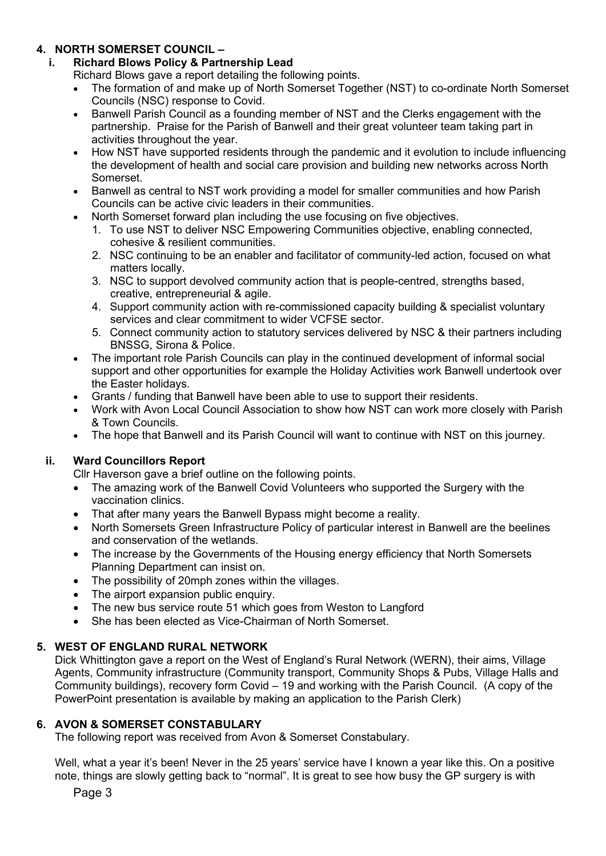# **4. NORTH SOMERSET COUNCIL –**

## **i. Richard Blows Policy & Partnership Lead**

Richard Blows gave a report detailing the following points.

- The formation of and make up of North Somerset Together (NST) to co-ordinate North Somerset Councils (NSC) response to Covid.
- Banwell Parish Council as a founding member of NST and the Clerks engagement with the partnership. Praise for the Parish of Banwell and their great volunteer team taking part in activities throughout the year.
- How NST have supported residents through the pandemic and it evolution to include influencing the development of health and social care provision and building new networks across North Somerset.
- Banwell as central to NST work providing a model for smaller communities and how Parish Councils can be active civic leaders in their communities.
- North Somerset forward plan including the use focusing on five objectives.
	- 1. To use NST to deliver NSC Empowering Communities objective, enabling connected, cohesive & resilient communities.
	- 2. NSC continuing to be an enabler and facilitator of community-led action, focused on what matters locally.
	- 3. NSC to support devolved community action that is people-centred, strengths based, creative, entrepreneurial & agile.
	- 4. Support community action with re-commissioned capacity building & specialist voluntary services and clear commitment to wider VCFSE sector.
	- 5. Connect community action to statutory services delivered by NSC & their partners including BNSSG, Sirona & Police.
- The important role Parish Councils can play in the continued development of informal social support and other opportunities for example the Holiday Activities work Banwell undertook over the Easter holidays.
- Grants / funding that Banwell have been able to use to support their residents.
- Work with Avon Local Council Association to show how NST can work more closely with Parish & Town Councils.
- The hope that Banwell and its Parish Council will want to continue with NST on this journey.

## **ii. Ward Councillors Report**

Cllr Haverson gave a brief outline on the following points.

- The amazing work of the Banwell Covid Volunteers who supported the Surgery with the vaccination clinics.
- That after many years the Banwell Bypass might become a reality.
- North Somersets Green Infrastructure Policy of particular interest in Banwell are the beelines and conservation of the wetlands.
- The increase by the Governments of the Housing energy efficiency that North Somersets Planning Department can insist on.
- The possibility of 20mph zones within the villages.
- The airport expansion public enquiry.
- The new bus service route 51 which goes from Weston to Langford
- She has been elected as Vice-Chairman of North Somerset.

## **5. WEST OF ENGLAND RURAL NETWORK**

Dick Whittington gave a report on the West of England's Rural Network (WERN), their aims, Village Agents, Community infrastructure (Community transport, Community Shops & Pubs, Village Halls and Community buildings), recovery form Covid – 19 and working with the Parish Council. (A copy of the PowerPoint presentation is available by making an application to the Parish Clerk)

### **6. AVON & SOMERSET CONSTABULARY**

The following report was received from Avon & Somerset Constabulary.

Well, what a year it's been! Never in the 25 years' service have I known a year like this. On a positive note, things are slowly getting back to "normal". It is great to see how busy the GP surgery is with

Page 3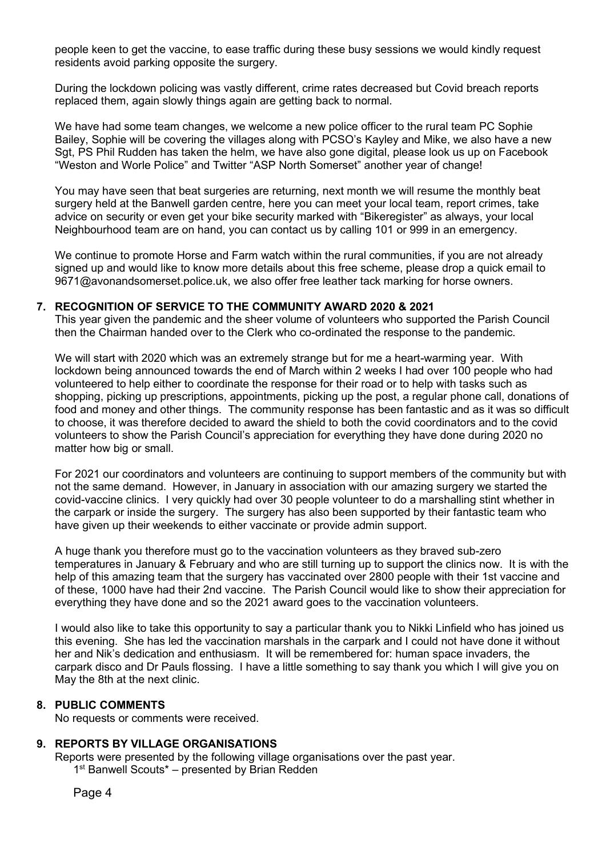people keen to get the vaccine, to ease traffic during these busy sessions we would kindly request residents avoid parking opposite the surgery.

During the lockdown policing was vastly different, crime rates decreased but Covid breach reports replaced them, again slowly things again are getting back to normal.

We have had some team changes, we welcome a new police officer to the rural team PC Sophie Bailey, Sophie will be covering the villages along with PCSO's Kayley and Mike, we also have a new Sgt, PS Phil Rudden has taken the helm, we have also gone digital, please look us up on Facebook "Weston and Worle Police" and Twitter "ASP North Somerset" another year of change!

You may have seen that beat surgeries are returning, next month we will resume the monthly beat surgery held at the Banwell garden centre, here you can meet your local team, report crimes, take advice on security or even get your bike security marked with "Bikeregister" as always, your local Neighbourhood team are on hand, you can contact us by calling 101 or 999 in an emergency.

We continue to promote Horse and Farm watch within the rural communities, if you are not already signed up and would like to know more details about this free scheme, please drop a quick email to 9671@avonandsomerset.police.uk, we also offer free leather tack marking for horse owners.

### **7. RECOGNITION OF SERVICE TO THE COMMUNITY AWARD 2020 & 2021**

This year given the pandemic and the sheer volume of volunteers who supported the Parish Council then the Chairman handed over to the Clerk who co-ordinated the response to the pandemic.

We will start with 2020 which was an extremely strange but for me a heart-warming year. With lockdown being announced towards the end of March within 2 weeks I had over 100 people who had volunteered to help either to coordinate the response for their road or to help with tasks such as shopping, picking up prescriptions, appointments, picking up the post, a regular phone call, donations of food and money and other things. The community response has been fantastic and as it was so difficult to choose, it was therefore decided to award the shield to both the covid coordinators and to the covid volunteers to show the Parish Council's appreciation for everything they have done during 2020 no matter how big or small.

For 2021 our coordinators and volunteers are continuing to support members of the community but with not the same demand. However, in January in association with our amazing surgery we started the covid-vaccine clinics. I very quickly had over 30 people volunteer to do a marshalling stint whether in the carpark or inside the surgery. The surgery has also been supported by their fantastic team who have given up their weekends to either vaccinate or provide admin support.

A huge thank you therefore must go to the vaccination volunteers as they braved sub-zero temperatures in January & February and who are still turning up to support the clinics now. It is with the help of this amazing team that the surgery has vaccinated over 2800 people with their 1st vaccine and of these, 1000 have had their 2nd vaccine. The Parish Council would like to show their appreciation for everything they have done and so the 2021 award goes to the vaccination volunteers.

I would also like to take this opportunity to say a particular thank you to Nikki Linfield who has joined us this evening. She has led the vaccination marshals in the carpark and I could not have done it without her and Nik's dedication and enthusiasm. It will be remembered for: human space invaders, the carpark disco and Dr Pauls flossing. I have a little something to say thank you which I will give you on May the 8th at the next clinic.

## **8. PUBLIC COMMENTS**

No requests or comments were received.

### **9. REPORTS BY VILLAGE ORGANISATIONS**

Reports were presented by the following village organisations over the past year. 1<sup>st</sup> Banwell Scouts<sup>\*</sup> – presented by Brian Redden

Page 4